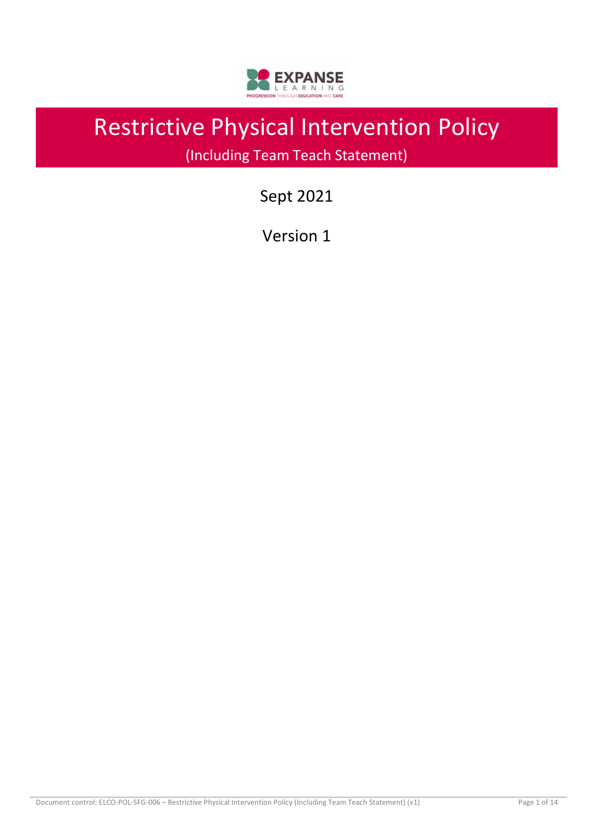

# Restrictive Physical Intervention Policy

(Including Team Teach Statement)

# Sept 2021

Version 1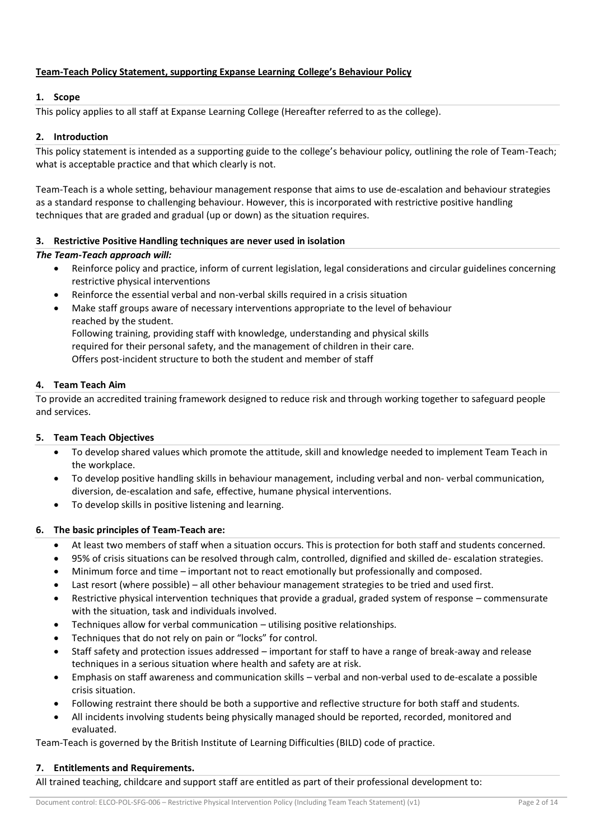# **Team-Teach Policy Statement, supporting Expanse Learning College's Behaviour Policy**

# **1. Scope**

This policy applies to all staff at Expanse Learning College (Hereafter referred to as the college).

# **2. Introduction**

This policy statement is intended as a supporting guide to the college's behaviour policy, outlining the role of Team-Teach; what is acceptable practice and that which clearly is not.

Team-Teach is a whole setting, behaviour management response that aims to use de-escalation and behaviour strategies as a standard response to challenging behaviour. However, this is incorporated with restrictive positive handling techniques that are graded and gradual (up or down) as the situation requires.

# **3. Restrictive Positive Handling techniques are never used in isolation**

# *The Team-Teach approach will:*

- Reinforce policy and practice, inform of current legislation, legal considerations and circular guidelines concerning restrictive physical interventions
- Reinforce the essential verbal and non-verbal skills required in a crisis situation
- Make staff groups aware of necessary interventions appropriate to the level of behaviour reached by the student. Following training, providing staff with knowledge, understanding and physical skills required for their personal safety, and the management of children in their care. Offers post-incident structure to both the student and member of staff

# **4. Team Teach Aim**

To provide an accredited training framework designed to reduce risk and through working together to safeguard people and services.

# **5. Team Teach Objectives**

- To develop shared values which promote the attitude, skill and knowledge needed to implement Team Teach in the workplace.
- To develop positive handling skills in behaviour management, including verbal and non- verbal communication, diversion, de-escalation and safe, effective, humane physical interventions.
- To develop skills in positive listening and learning.

# **6. The basic principles of Team-Teach are:**

- At least two members of staff when a situation occurs. This is protection for both staff and students concerned.
- 95% of crisis situations can be resolved through calm, controlled, dignified and skilled de- escalation strategies.
- Minimum force and time important not to react emotionally but professionally and composed.
- Last resort (where possible) all other behaviour management strategies to be tried and used first.
- Restrictive physical intervention techniques that provide a gradual, graded system of response commensurate with the situation, task and individuals involved.
- Techniques allow for verbal communication utilising positive relationships.
- Techniques that do not rely on pain or "locks" for control.
- Staff safety and protection issues addressed important for staff to have a range of break-away and release techniques in a serious situation where health and safety are at risk.
- Emphasis on staff awareness and communication skills verbal and non-verbal used to de-escalate a possible crisis situation.
- Following restraint there should be both a supportive and reflective structure for both staff and students.
- All incidents involving students being physically managed should be reported, recorded, monitored and evaluated.

Team-Teach is governed by the British Institute of Learning Difficulties (BILD) code of practice.

# **7. Entitlements and Requirements.**

All trained teaching, childcare and support staff are entitled as part of their professional development to: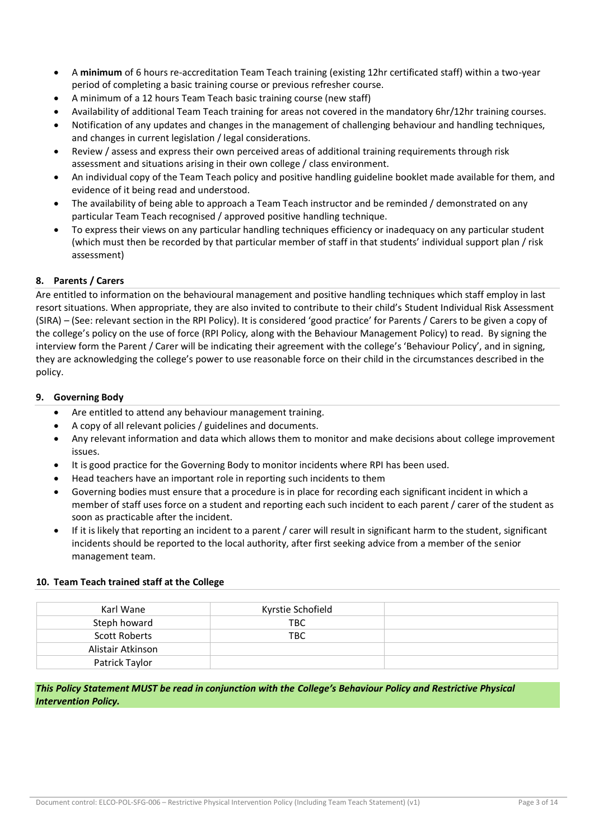- A **minimum** of 6 hours re-accreditation Team Teach training (existing 12hr certificated staff) within a two-year period of completing a basic training course or previous refresher course.
- A minimum of a 12 hours Team Teach basic training course (new staff)
- Availability of additional Team Teach training for areas not covered in the mandatory 6hr/12hr training courses.
- Notification of any updates and changes in the management of challenging behaviour and handling techniques, and changes in current legislation / legal considerations.
- Review / assess and express their own perceived areas of additional training requirements through risk assessment and situations arising in their own college / class environment.
- An individual copy of the Team Teach policy and positive handling guideline booklet made available for them, and evidence of it being read and understood.
- The availability of being able to approach a Team Teach instructor and be reminded / demonstrated on any particular Team Teach recognised / approved positive handling technique.
- To express their views on any particular handling techniques efficiency or inadequacy on any particular student (which must then be recorded by that particular member of staff in that students' individual support plan / risk assessment)

# **8. Parents / Carers**

Are entitled to information on the behavioural management and positive handling techniques which staff employ in last resort situations. When appropriate, they are also invited to contribute to their child's Student Individual Risk Assessment (SIRA) – (See: relevant section in the RPI Policy). It is considered 'good practice' for Parents / Carers to be given a copy of the college's policy on the use of force (RPI Policy, along with the Behaviour Management Policy) to read. By signing the interview form the Parent / Carer will be indicating their agreement with the college's 'Behaviour Policy', and in signing, they are acknowledging the college's power to use reasonable force on their child in the circumstances described in the policy.

# **9. Governing Body**

- Are entitled to attend any behaviour management training.
- A copy of all relevant policies / guidelines and documents.
- Any relevant information and data which allows them to monitor and make decisions about college improvement issues.
- It is good practice for the Governing Body to monitor incidents where RPI has been used.
- Head teachers have an important role in reporting such incidents to them
- Governing bodies must ensure that a procedure is in place for recording each significant incident in which a member of staff uses force on a student and reporting each such incident to each parent / carer of the student as soon as practicable after the incident.
- If it is likely that reporting an incident to a parent / carer will result in significant harm to the student, significant incidents should be reported to the local authority, after first seeking advice from a member of the senior management team.

# **10. Team Teach trained staff at the College**

| Karl Wane            | Kyrstie Schofield |  |
|----------------------|-------------------|--|
| Steph howard         | TBC.              |  |
| <b>Scott Roberts</b> | TBC.              |  |
| Alistair Atkinson    |                   |  |
| Patrick Taylor       |                   |  |

*This Policy Statement MUST be read in conjunction with the College's Behaviour Policy and Restrictive Physical Intervention Policy.*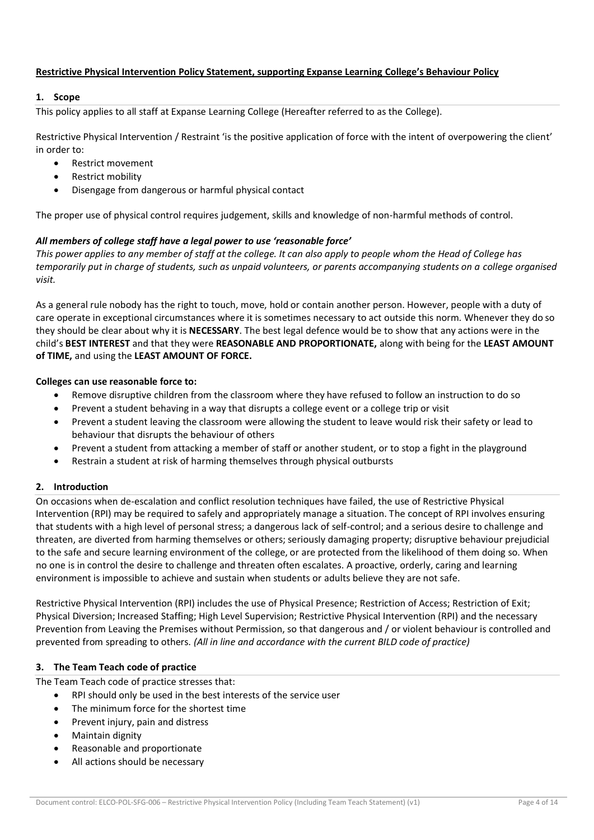# **Restrictive Physical Intervention Policy Statement, supporting Expanse Learning College's Behaviour Policy**

## **1. Scope**

This policy applies to all staff at Expanse Learning College (Hereafter referred to as the College).

Restrictive Physical Intervention / Restraint 'is the positive application of force with the intent of overpowering the client' in order to:

- Restrict movement
- Restrict mobility
- Disengage from dangerous or harmful physical contact

The proper use of physical control requires judgement, skills and knowledge of non-harmful methods of control.

# *All members of college staff have a legal power to use 'reasonable force'*

*This power applies to any member of staff at the college. It can also apply to people whom the Head of College has temporarily put in charge of students, such as unpaid volunteers, or parents accompanying students on a college organised visit.* 

As a general rule nobody has the right to touch, move, hold or contain another person. However, people with a duty of care operate in exceptional circumstances where it is sometimes necessary to act outside this norm. Whenever they do so they should be clear about why it is **NECESSARY**. The best legal defence would be to show that any actions were in the child's **BEST INTEREST** and that they were **REASONABLE AND PROPORTIONATE,** along with being for the **LEAST AMOUNT of TIME,** and using the **LEAST AMOUNT OF FORCE.** 

## **Colleges can use reasonable force to:**

- Remove disruptive children from the classroom where they have refused to follow an instruction to do so
- Prevent a student behaving in a way that disrupts a college event or a college trip or visit
- Prevent a student leaving the classroom were allowing the student to leave would risk their safety or lead to behaviour that disrupts the behaviour of others
- Prevent a student from attacking a member of staff or another student, or to stop a fight in the playground
- Restrain a student at risk of harming themselves through physical outbursts

# **2. Introduction**

On occasions when de-escalation and conflict resolution techniques have failed, the use of Restrictive Physical Intervention (RPI) may be required to safely and appropriately manage a situation. The concept of RPI involves ensuring that students with a high level of personal stress; a dangerous lack of self-control; and a serious desire to challenge and threaten, are diverted from harming themselves or others; seriously damaging property; disruptive behaviour prejudicial to the safe and secure learning environment of the college, or are protected from the likelihood of them doing so. When no one is in control the desire to challenge and threaten often escalates. A proactive, orderly, caring and learning environment is impossible to achieve and sustain when students or adults believe they are not safe.

Restrictive Physical Intervention (RPI) includes the use of Physical Presence; Restriction of Access; Restriction of Exit; Physical Diversion; Increased Staffing; High Level Supervision; Restrictive Physical Intervention (RPI) and the necessary Prevention from Leaving the Premises without Permission, so that dangerous and / or violent behaviour is controlled and prevented from spreading to others. *(All in line and accordance with the current BILD code of practice)* 

# **3. The Team Teach code of practice**

The Team Teach code of practice stresses that:

- RPI should only be used in the best interests of the service user
	- The minimum force for the shortest time
	- Prevent injury, pain and distress
	- Maintain dignity
	- Reasonable and proportionate
	- All actions should be necessary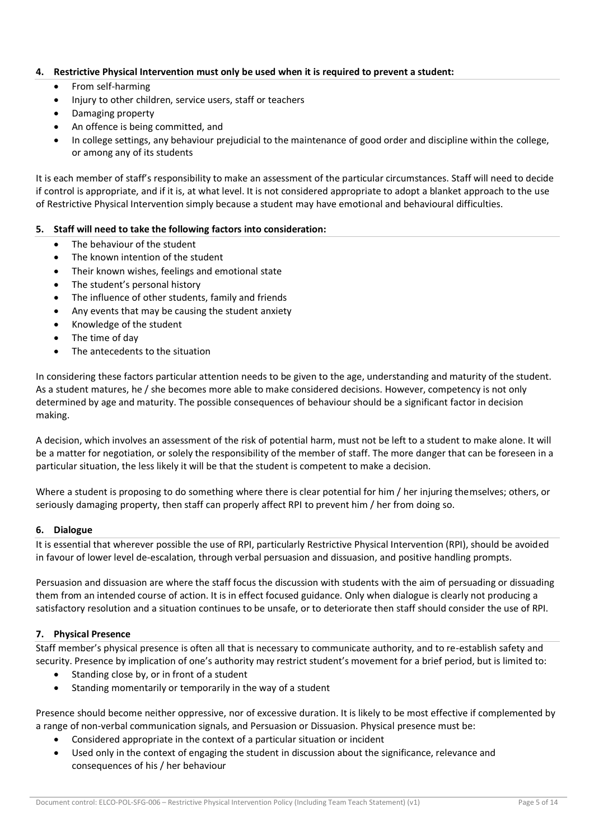# **4. Restrictive Physical Intervention must only be used when it is required to prevent a student:**

- From self-harming
- Injury to other children, service users, staff or teachers
- Damaging property
- An offence is being committed, and
- In college settings, any behaviour prejudicial to the maintenance of good order and discipline within the college, or among any of its students

It is each member of staff's responsibility to make an assessment of the particular circumstances. Staff will need to decide if control is appropriate, and if it is, at what level. It is not considered appropriate to adopt a blanket approach to the use of Restrictive Physical Intervention simply because a student may have emotional and behavioural difficulties.

## **5. Staff will need to take the following factors into consideration:**

- The behaviour of the student
- The known intention of the student
- Their known wishes, feelings and emotional state
- The student's personal history
- The influence of other students, family and friends
- Any events that may be causing the student anxiety
- Knowledge of the student
- The time of day
- The antecedents to the situation

In considering these factors particular attention needs to be given to the age, understanding and maturity of the student. As a student matures, he / she becomes more able to make considered decisions. However, competency is not only determined by age and maturity. The possible consequences of behaviour should be a significant factor in decision making.

A decision, which involves an assessment of the risk of potential harm, must not be left to a student to make alone. It will be a matter for negotiation, or solely the responsibility of the member of staff. The more danger that can be foreseen in a particular situation, the less likely it will be that the student is competent to make a decision.

Where a student is proposing to do something where there is clear potential for him / her injuring themselves; others, or seriously damaging property, then staff can properly affect RPI to prevent him / her from doing so.

#### **6. Dialogue**

It is essential that wherever possible the use of RPI, particularly Restrictive Physical Intervention (RPI), should be avoided in favour of lower level de-escalation, through verbal persuasion and dissuasion, and positive handling prompts.

Persuasion and dissuasion are where the staff focus the discussion with students with the aim of persuading or dissuading them from an intended course of action. It is in effect focused guidance. Only when dialogue is clearly not producing a satisfactory resolution and a situation continues to be unsafe, or to deteriorate then staff should consider the use of RPI.

# **7. Physical Presence**

Staff member's physical presence is often all that is necessary to communicate authority, and to re-establish safety and security. Presence by implication of one's authority may restrict student's movement for a brief period, but is limited to:

- Standing close by, or in front of a student
- Standing momentarily or temporarily in the way of a student

Presence should become neither oppressive, nor of excessive duration. It is likely to be most effective if complemented by a range of non-verbal communication signals, and Persuasion or Dissuasion. Physical presence must be:

- Considered appropriate in the context of a particular situation or incident
- Used only in the context of engaging the student in discussion about the significance, relevance and consequences of his / her behaviour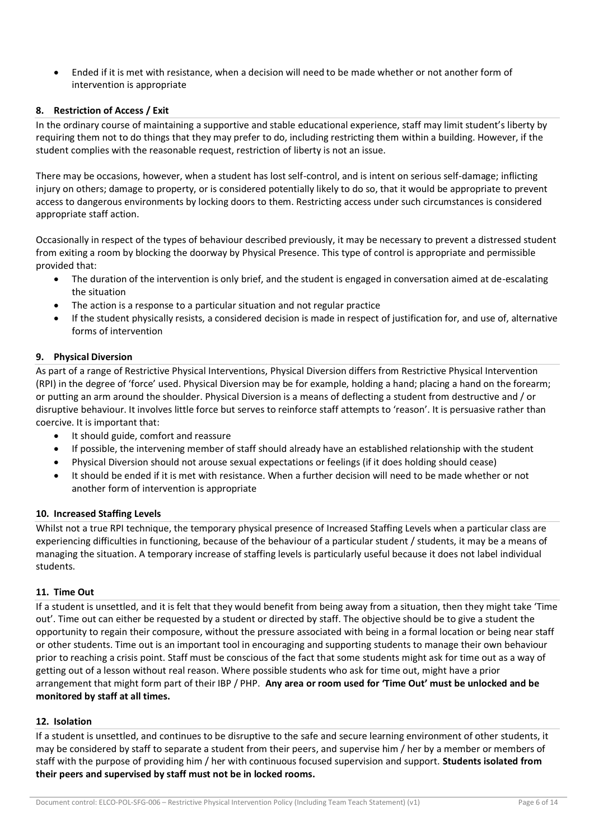• Ended if it is met with resistance, when a decision will need to be made whether or not another form of intervention is appropriate

# **8. Restriction of Access / Exit**

In the ordinary course of maintaining a supportive and stable educational experience, staff may limit student's liberty by requiring them not to do things that they may prefer to do, including restricting them within a building. However, if the student complies with the reasonable request, restriction of liberty is not an issue.

There may be occasions, however, when a student has lost self-control, and is intent on serious self-damage; inflicting injury on others; damage to property, or is considered potentially likely to do so, that it would be appropriate to prevent access to dangerous environments by locking doors to them. Restricting access under such circumstances is considered appropriate staff action.

Occasionally in respect of the types of behaviour described previously, it may be necessary to prevent a distressed student from exiting a room by blocking the doorway by Physical Presence. This type of control is appropriate and permissible provided that:

- The duration of the intervention is only brief, and the student is engaged in conversation aimed at de-escalating the situation
- The action is a response to a particular situation and not regular practice
- If the student physically resists, a considered decision is made in respect of justification for, and use of, alternative forms of intervention

## **9. Physical Diversion**

As part of a range of Restrictive Physical Interventions, Physical Diversion differs from Restrictive Physical Intervention (RPI) in the degree of 'force' used. Physical Diversion may be for example, holding a hand; placing a hand on the forearm; or putting an arm around the shoulder. Physical Diversion is a means of deflecting a student from destructive and / or disruptive behaviour. It involves little force but serves to reinforce staff attempts to 'reason'. It is persuasive rather than coercive. It is important that:

- It should guide, comfort and reassure
- If possible, the intervening member of staff should already have an established relationship with the student
- Physical Diversion should not arouse sexual expectations or feelings (if it does holding should cease)
- It should be ended if it is met with resistance. When a further decision will need to be made whether or not another form of intervention is appropriate

#### **10. Increased Staffing Levels**

Whilst not a true RPI technique, the temporary physical presence of Increased Staffing Levels when a particular class are experiencing difficulties in functioning, because of the behaviour of a particular student / students, it may be a means of managing the situation. A temporary increase of staffing levels is particularly useful because it does not label individual students.

#### **11. Time Out**

If a student is unsettled, and it is felt that they would benefit from being away from a situation, then they might take 'Time out'. Time out can either be requested by a student or directed by staff. The objective should be to give a student the opportunity to regain their composure, without the pressure associated with being in a formal location or being near staff or other students. Time out is an important tool in encouraging and supporting students to manage their own behaviour prior to reaching a crisis point. Staff must be conscious of the fact that some students might ask for time out as a way of getting out of a lesson without real reason. Where possible students who ask for time out, might have a prior arrangement that might form part of their IBP / PHP. **Any area or room used for 'Time Out' must be unlocked and be monitored by staff at all times.** 

#### **12. Isolation**

If a student is unsettled, and continues to be disruptive to the safe and secure learning environment of other students, it may be considered by staff to separate a student from their peers, and supervise him / her by a member or members of staff with the purpose of providing him / her with continuous focused supervision and support. **Students isolated from their peers and supervised by staff must not be in locked rooms.**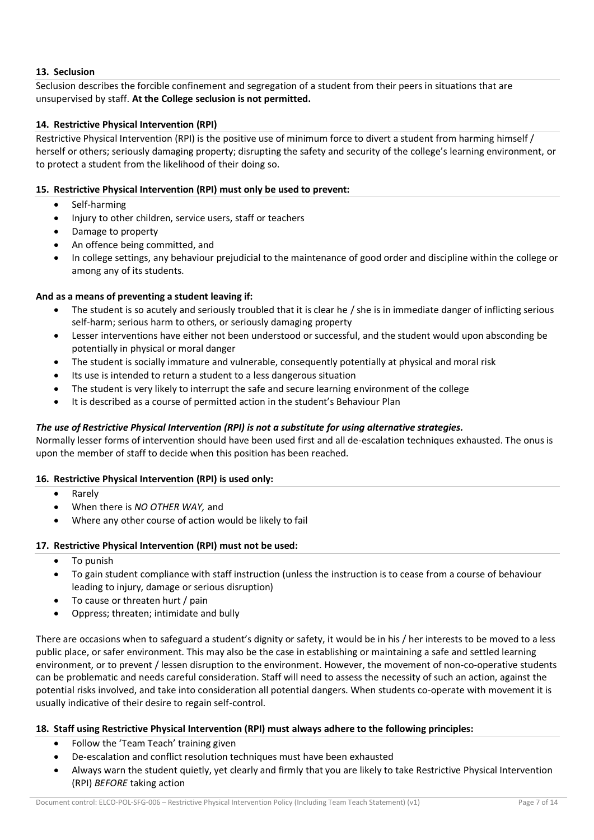# **13. Seclusion**

Seclusion describes the forcible confinement and segregation of a student from their peers in situations that are unsupervised by staff. **At the College seclusion is not permitted.** 

# **14. Restrictive Physical Intervention (RPI)**

Restrictive Physical Intervention (RPI) is the positive use of minimum force to divert a student from harming himself / herself or others; seriously damaging property; disrupting the safety and security of the college's learning environment, or to protect a student from the likelihood of their doing so.

## **15. Restrictive Physical Intervention (RPI) must only be used to prevent:**

- Self-harming
- Injury to other children, service users, staff or teachers
- Damage to property
- An offence being committed, and
- In college settings, any behaviour prejudicial to the maintenance of good order and discipline within the college or among any of its students.

## **And as a means of preventing a student leaving if:**

- The student is so acutely and seriously troubled that it is clear he / she is in immediate danger of inflicting serious self-harm; serious harm to others, or seriously damaging property
- Lesser interventions have either not been understood or successful, and the student would upon absconding be potentially in physical or moral danger
- The student is socially immature and vulnerable, consequently potentially at physical and moral risk
- Its use is intended to return a student to a less dangerous situation
- The student is very likely to interrupt the safe and secure learning environment of the college
- It is described as a course of permitted action in the student's Behaviour Plan

# *The use of Restrictive Physical Intervention (RPI) is not a substitute for using alternative strategies.*

Normally lesser forms of intervention should have been used first and all de-escalation techniques exhausted. The onus is upon the member of staff to decide when this position has been reached.

#### **16. Restrictive Physical Intervention (RPI) is used only:**

- Rarely
- When there is *NO OTHER WAY,* and
- Where any other course of action would be likely to fail

#### **17. Restrictive Physical Intervention (RPI) must not be used:**

- To punish
- To gain student compliance with staff instruction (unless the instruction is to cease from a course of behaviour leading to injury, damage or serious disruption)
- To cause or threaten hurt / pain
- Oppress; threaten; intimidate and bully

There are occasions when to safeguard a student's dignity or safety, it would be in his / her interests to be moved to a less public place, or safer environment. This may also be the case in establishing or maintaining a safe and settled learning environment, or to prevent / lessen disruption to the environment. However, the movement of non-co-operative students can be problematic and needs careful consideration. Staff will need to assess the necessity of such an action, against the potential risks involved, and take into consideration all potential dangers. When students co-operate with movement it is usually indicative of their desire to regain self-control.

#### **18. Staff using Restrictive Physical Intervention (RPI) must always adhere to the following principles:**

- Follow the 'Team Teach' training given
- De-escalation and conflict resolution techniques must have been exhausted
- Always warn the student quietly, yet clearly and firmly that you are likely to take Restrictive Physical Intervention (RPI) *BEFORE* taking action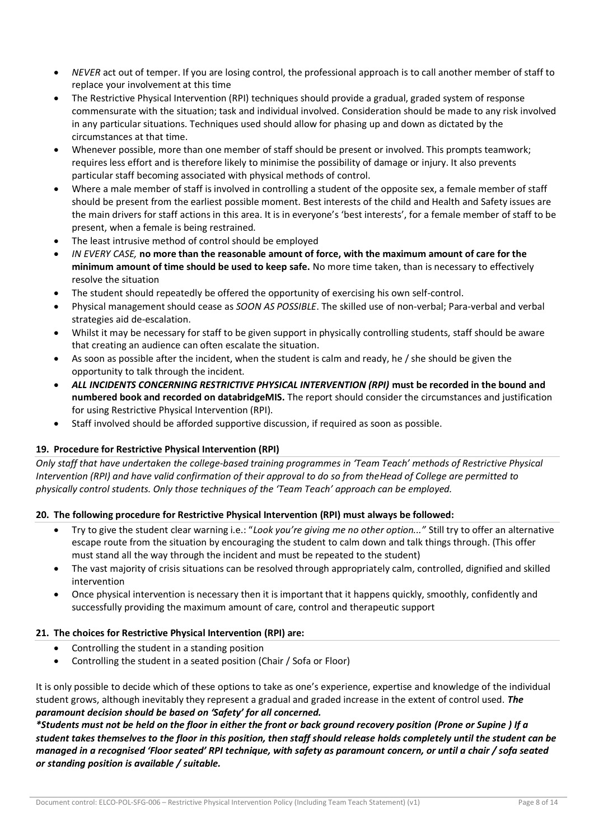- *NEVER* act out of temper. If you are losing control, the professional approach is to call another member of staff to replace your involvement at this time
- The Restrictive Physical Intervention (RPI) techniques should provide a gradual, graded system of response commensurate with the situation; task and individual involved. Consideration should be made to any risk involved in any particular situations. Techniques used should allow for phasing up and down as dictated by the circumstances at that time.
- Whenever possible, more than one member of staff should be present or involved. This prompts teamwork; requires less effort and is therefore likely to minimise the possibility of damage or injury. It also prevents particular staff becoming associated with physical methods of control.
- Where a male member of staff is involved in controlling a student of the opposite sex, a female member of staff should be present from the earliest possible moment. Best interests of the child and Health and Safety issues are the main drivers for staff actions in this area. It is in everyone's 'best interests', for a female member of staff to be present, when a female is being restrained.
- The least intrusive method of control should be employed
- *IN EVERY CASE,* **no more than the reasonable amount of force, with the maximum amount of care for the minimum amount of time should be used to keep safe.** No more time taken, than is necessary to effectively resolve the situation
- The student should repeatedly be offered the opportunity of exercising his own self-control.
- Physical management should cease as *SOON AS POSSIBLE*. The skilled use of non-verbal; Para-verbal and verbal strategies aid de-escalation.
- Whilst it may be necessary for staff to be given support in physically controlling students, staff should be aware that creating an audience can often escalate the situation.
- As soon as possible after the incident, when the student is calm and ready, he / she should be given the opportunity to talk through the incident.
- *ALL INCIDENTS CONCERNING RESTRICTIVE PHYSICAL INTERVENTION (RPI)* **must be recorded in the bound and numbered book and recorded on databridgeMIS.** The report should consider the circumstances and justification for using Restrictive Physical Intervention (RPI).
- Staff involved should be afforded supportive discussion, if required as soon as possible.

# **19. Procedure for Restrictive Physical Intervention (RPI)**

*Only staff that have undertaken the college-based training programmes in 'Team Teach' methods of Restrictive Physical Intervention (RPI) and have valid confirmation of their approval to do so from theHead of College are permitted to physically control students. Only those techniques of the 'Team Teach' approach can be employed.* 

# **20. The following procedure for Restrictive Physical Intervention (RPI) must always be followed:**

- Try to give the student clear warning i.e.: "*Look you're giving me no other option..."* Still try to offer an alternative escape route from the situation by encouraging the student to calm down and talk things through. (This offer must stand all the way through the incident and must be repeated to the student)
- The vast majority of crisis situations can be resolved through appropriately calm, controlled, dignified and skilled intervention
- Once physical intervention is necessary then it is important that it happens quickly, smoothly, confidently and successfully providing the maximum amount of care, control and therapeutic support

# **21. The choices for Restrictive Physical Intervention (RPI) are:**

- Controlling the student in a standing position
- Controlling the student in a seated position (Chair / Sofa or Floor)

It is only possible to decide which of these options to take as one's experience, expertise and knowledge of the individual student grows, although inevitably they represent a gradual and graded increase in the extent of control used. *The paramount decision should be based on 'Safety' for all concerned.* 

*\*Students must not be held on the floor in either the front or back ground recovery position (Prone or Supine ) If a student takes themselves to the floor in this position, then staff should release holds completely until the student can be managed in a recognised 'Floor seated' RPI technique, with safety as paramount concern, or until a chair / sofa seated or standing position is available / suitable.*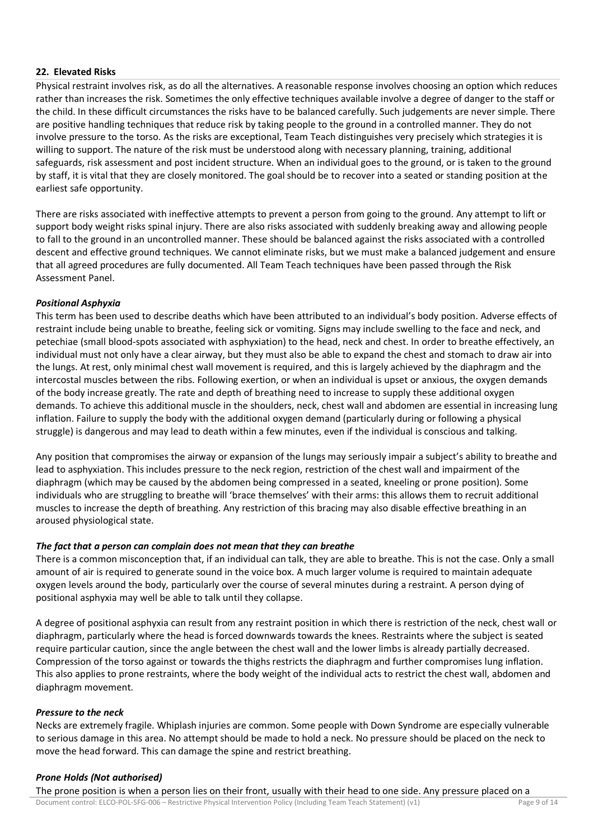# **22. Elevated Risks**

Physical restraint involves risk, as do all the alternatives. A reasonable response involves choosing an option which reduces rather than increases the risk. Sometimes the only effective techniques available involve a degree of danger to the staff or the child. In these difficult circumstances the risks have to be balanced carefully. Such judgements are never simple. There are positive handling techniques that reduce risk by taking people to the ground in a controlled manner. They do not involve pressure to the torso. As the risks are exceptional, Team Teach distinguishes very precisely which strategies it is willing to support. The nature of the risk must be understood along with necessary planning, training, additional safeguards, risk assessment and post incident structure. When an individual goes to the ground, or is taken to the ground by staff, it is vital that they are closely monitored. The goal should be to recover into a seated or standing position at the earliest safe opportunity.

There are risks associated with ineffective attempts to prevent a person from going to the ground. Any attempt to lift or support body weight risks spinal injury. There are also risks associated with suddenly breaking away and allowing people to fall to the ground in an uncontrolled manner. These should be balanced against the risks associated with a controlled descent and effective ground techniques. We cannot eliminate risks, but we must make a balanced judgement and ensure that all agreed procedures are fully documented. All Team Teach techniques have been passed through the Risk Assessment Panel.

## *Positional Asphyxia*

This term has been used to describe deaths which have been attributed to an individual's body position. Adverse effects of restraint include being unable to breathe, feeling sick or vomiting. Signs may include swelling to the face and neck, and petechiae (small blood-spots associated with asphyxiation) to the head, neck and chest. In order to breathe effectively, an individual must not only have a clear airway, but they must also be able to expand the chest and stomach to draw air into the lungs. At rest, only minimal chest wall movement is required, and this is largely achieved by the diaphragm and the intercostal muscles between the ribs. Following exertion, or when an individual is upset or anxious, the oxygen demands of the body increase greatly. The rate and depth of breathing need to increase to supply these additional oxygen demands. To achieve this additional muscle in the shoulders, neck, chest wall and abdomen are essential in increasing lung inflation. Failure to supply the body with the additional oxygen demand (particularly during or following a physical struggle) is dangerous and may lead to death within a few minutes, even if the individual is conscious and talking.

Any position that compromises the airway or expansion of the lungs may seriously impair a subject's ability to breathe and lead to asphyxiation. This includes pressure to the neck region, restriction of the chest wall and impairment of the diaphragm (which may be caused by the abdomen being compressed in a seated, kneeling or prone position). Some individuals who are struggling to breathe will 'brace themselves' with their arms: this allows them to recruit additional muscles to increase the depth of breathing. Any restriction of this bracing may also disable effective breathing in an aroused physiological state.

#### *The fact that a person can complain does not mean that they can breathe*

There is a common misconception that, if an individual can talk, they are able to breathe. This is not the case. Only a small amount of air is required to generate sound in the voice box. A much larger volume is required to maintain adequate oxygen levels around the body, particularly over the course of several minutes during a restraint. A person dying of positional asphyxia may well be able to talk until they collapse.

A degree of positional asphyxia can result from any restraint position in which there is restriction of the neck, chest wall or diaphragm, particularly where the head is forced downwards towards the knees. Restraints where the subject is seated require particular caution, since the angle between the chest wall and the lower limbs is already partially decreased. Compression of the torso against or towards the thighs restricts the diaphragm and further compromises lung inflation. This also applies to prone restraints, where the body weight of the individual acts to restrict the chest wall, abdomen and diaphragm movement.

#### *Pressure to the neck*

Necks are extremely fragile. Whiplash injuries are common. Some people with Down Syndrome are especially vulnerable to serious damage in this area. No attempt should be made to hold a neck. No pressure should be placed on the neck to move the head forward. This can damage the spine and restrict breathing.

# *Prone Holds (Not authorised)*

Document control: ELCO-POL-SFG-006 – Restrictive Physical Intervention Policy (Including Team Teach Statement) (v1) Page 9 of 14 The prone position is when a person lies on their front, usually with their head to one side. Any pressure placed on a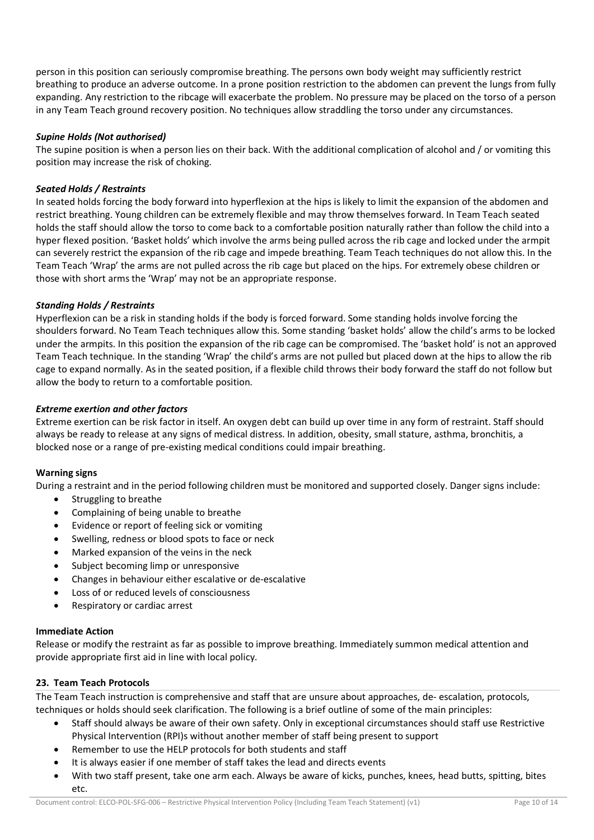person in this position can seriously compromise breathing. The persons own body weight may sufficiently restrict breathing to produce an adverse outcome. In a prone position restriction to the abdomen can prevent the lungs from fully expanding. Any restriction to the ribcage will exacerbate the problem. No pressure may be placed on the torso of a person in any Team Teach ground recovery position. No techniques allow straddling the torso under any circumstances.

# *Supine Holds (Not authorised)*

The supine position is when a person lies on their back. With the additional complication of alcohol and / or vomiting this position may increase the risk of choking.

# *Seated Holds / Restraints*

In seated holds forcing the body forward into hyperflexion at the hips is likely to limit the expansion of the abdomen and restrict breathing. Young children can be extremely flexible and may throw themselves forward. In Team Teach seated holds the staff should allow the torso to come back to a comfortable position naturally rather than follow the child into a hyper flexed position. 'Basket holds' which involve the arms being pulled across the rib cage and locked under the armpit can severely restrict the expansion of the rib cage and impede breathing. Team Teach techniques do not allow this. In the Team Teach 'Wrap' the arms are not pulled across the rib cage but placed on the hips. For extremely obese children or those with short arms the 'Wrap' may not be an appropriate response.

## *Standing Holds / Restraints*

Hyperflexion can be a risk in standing holds if the body is forced forward. Some standing holds involve forcing the shoulders forward. No Team Teach techniques allow this. Some standing 'basket holds' allow the child's arms to be locked under the armpits. In this position the expansion of the rib cage can be compromised. The 'basket hold' is not an approved Team Teach technique. In the standing 'Wrap' the child's arms are not pulled but placed down at the hips to allow the rib cage to expand normally. As in the seated position, if a flexible child throws their body forward the staff do not follow but allow the body to return to a comfortable position.

## *Extreme exertion and other factors*

Extreme exertion can be risk factor in itself. An oxygen debt can build up over time in any form of restraint. Staff should always be ready to release at any signs of medical distress. In addition, obesity, small stature, asthma, bronchitis, a blocked nose or a range of pre-existing medical conditions could impair breathing.

#### **Warning signs**

During a restraint and in the period following children must be monitored and supported closely. Danger signs include:

- Struggling to breathe
- Complaining of being unable to breathe
- Evidence or report of feeling sick or vomiting
- Swelling, redness or blood spots to face or neck
- Marked expansion of the veins in the neck
- Subject becoming limp or unresponsive
- Changes in behaviour either escalative or de-escalative
- Loss of or reduced levels of consciousness
- Respiratory or cardiac arrest

#### **Immediate Action**

Release or modify the restraint as far as possible to improve breathing. Immediately summon medical attention and provide appropriate first aid in line with local policy.

#### **23. Team Teach Protocols**

The Team Teach instruction is comprehensive and staff that are unsure about approaches, de- escalation, protocols, techniques or holds should seek clarification. The following is a brief outline of some of the main principles:

- Staff should always be aware of their own safety. Only in exceptional circumstances should staff use Restrictive Physical Intervention (RPI)s without another member of staff being present to support
- Remember to use the HELP protocols for both students and staff
- It is always easier if one member of staff takes the lead and directs events
- With two staff present, take one arm each. Always be aware of kicks, punches, knees, head butts, spitting, bites etc.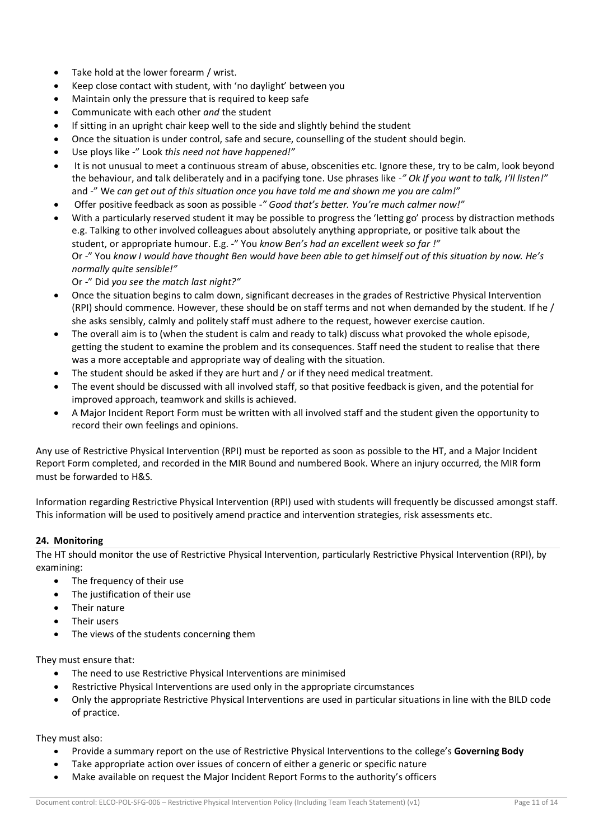- Take hold at the lower forearm / wrist.
- Keep close contact with student, with 'no daylight' between you
- Maintain only the pressure that is required to keep safe
- Communicate with each other *and* the student
- If sitting in an upright chair keep well to the side and slightly behind the student
- Once the situation is under control, safe and secure, counselling of the student should begin.
- Use ploys like -" Look *this need not have happened!"*
- It is not unusual to meet a continuous stream of abuse, obscenities etc. Ignore these, try to be calm, look beyond the behaviour, and talk deliberately and in a pacifying tone. Use phrases like -*" Ok If you want to talk, I'll listen!"*  and -" We *can get out of this situation once you have told me and shown me you are calm!"*
- Offer positive feedback as soon as possible -*" Good that's better. You're much calmer now!"*
- With a particularly reserved student it may be possible to progress the 'letting go' process by distraction methods e.g. Talking to other involved colleagues about absolutely anything appropriate, or positive talk about the student, or appropriate humour. E.g. -" You *know Ben's had an excellent week so far !"* Or -" You *know I would have thought Ben would have been able to get himself out of this situation by now. He's normally quite sensible!"*

Or -" Did *you see the match last night?"* 

- Once the situation begins to calm down, significant decreases in the grades of Restrictive Physical Intervention (RPI) should commence. However, these should be on staff terms and not when demanded by the student. If he / she asks sensibly, calmly and politely staff must adhere to the request, however exercise caution.
- The overall aim is to (when the student is calm and ready to talk) discuss what provoked the whole episode, getting the student to examine the problem and its consequences. Staff need the student to realise that there was a more acceptable and appropriate way of dealing with the situation.
- The student should be asked if they are hurt and / or if they need medical treatment.
- The event should be discussed with all involved staff, so that positive feedback is given, and the potential for improved approach, teamwork and skills is achieved.
- A Major Incident Report Form must be written with all involved staff and the student given the opportunity to record their own feelings and opinions.

Any use of Restrictive Physical Intervention (RPI) must be reported as soon as possible to the HT, and a Major Incident Report Form completed, and recorded in the MIR Bound and numbered Book. Where an injury occurred, the MIR form must be forwarded to H&S.

Information regarding Restrictive Physical Intervention (RPI) used with students will frequently be discussed amongst staff. This information will be used to positively amend practice and intervention strategies, risk assessments etc.

# **24. Monitoring**

The HT should monitor the use of Restrictive Physical Intervention, particularly Restrictive Physical Intervention (RPI), by examining:

- The frequency of their use
- The justification of their use
- Their nature
- Their users
- The views of the students concerning them

They must ensure that:

- The need to use Restrictive Physical Interventions are minimised
- Restrictive Physical Interventions are used only in the appropriate circumstances
- Only the appropriate Restrictive Physical Interventions are used in particular situations in line with the BILD code of practice.

They must also:

- Provide a summary report on the use of Restrictive Physical Interventions to the college's **Governing Body**
- Take appropriate action over issues of concern of either a generic or specific nature
- Make available on request the Major Incident Report Forms to the authority's officers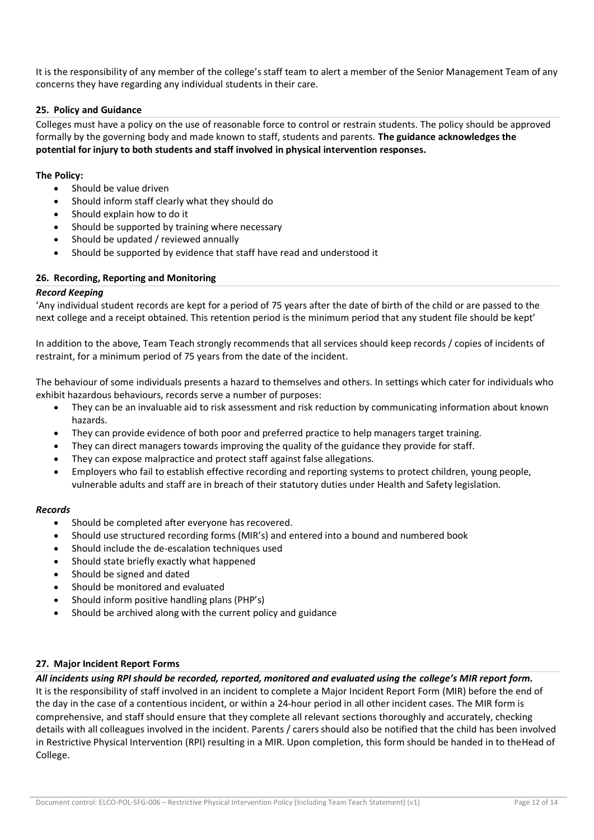It is the responsibility of any member of the college's staff team to alert a member of the Senior Management Team of any concerns they have regarding any individual students in their care.

#### **25. Policy and Guidance**

Colleges must have a policy on the use of reasonable force to control or restrain students. The policy should be approved formally by the governing body and made known to staff, students and parents. **The guidance acknowledges the potential for injury to both students and staff involved in physical intervention responses.** 

## **The Policy:**

- Should be value driven
- Should inform staff clearly what they should do
- Should explain how to do it
- Should be supported by training where necessary
- Should be updated / reviewed annually
- Should be supported by evidence that staff have read and understood it

#### **26. Recording, Reporting and Monitoring**

#### *Record Keeping*

'Any individual student records are kept for a period of 75 years after the date of birth of the child or are passed to the next college and a receipt obtained. This retention period is the minimum period that any student file should be kept'

In addition to the above, Team Teach strongly recommends that all services should keep records / copies of incidents of restraint, for a minimum period of 75 years from the date of the incident.

The behaviour of some individuals presents a hazard to themselves and others. In settings which cater for individuals who exhibit hazardous behaviours, records serve a number of purposes:

- They can be an invaluable aid to risk assessment and risk reduction by communicating information about known hazards.
- They can provide evidence of both poor and preferred practice to help managers target training.
- They can direct managers towards improving the quality of the guidance they provide for staff.
- They can expose malpractice and protect staff against false allegations.
- Employers who fail to establish effective recording and reporting systems to protect children, young people, vulnerable adults and staff are in breach of their statutory duties under Health and Safety legislation.

#### *Records*

- Should be completed after everyone has recovered.
- Should use structured recording forms (MIR's) and entered into a bound and numbered book
- Should include the de-escalation techniques used
- Should state briefly exactly what happened
- Should be signed and dated
- Should be monitored and evaluated
- Should inform positive handling plans (PHP's)
- Should be archived along with the current policy and guidance

#### **27. Major Incident Report Forms**

*All incidents using RPI should be recorded, reported, monitored and evaluated using the college's MIR report form.*  It is the responsibility of staff involved in an incident to complete a Major Incident Report Form (MIR) before the end of the day in the case of a contentious incident, or within a 24-hour period in all other incident cases. The MIR form is comprehensive, and staff should ensure that they complete all relevant sections thoroughly and accurately, checking details with all colleagues involved in the incident. Parents / carers should also be notified that the child has been involved in Restrictive Physical Intervention (RPI) resulting in a MIR. Upon completion, this form should be handed in to theHead of College.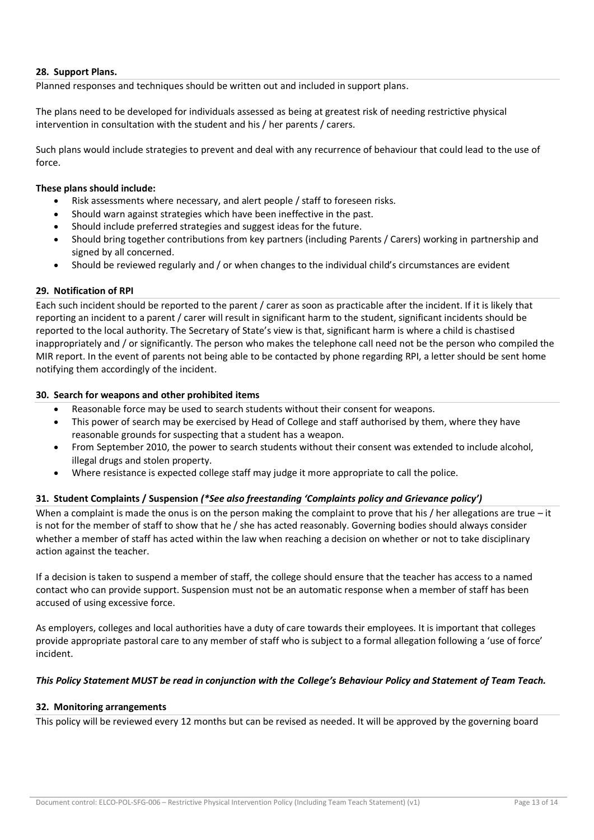# **28. Support Plans.**

Planned responses and techniques should be written out and included in support plans.

The plans need to be developed for individuals assessed as being at greatest risk of needing restrictive physical intervention in consultation with the student and his / her parents / carers.

Such plans would include strategies to prevent and deal with any recurrence of behaviour that could lead to the use of force.

#### **These plans should include:**

- Risk assessments where necessary, and alert people / staff to foreseen risks.
- Should warn against strategies which have been ineffective in the past.
- Should include preferred strategies and suggest ideas for the future.
- Should bring together contributions from key partners (including Parents / Carers) working in partnership and signed by all concerned.
- Should be reviewed regularly and / or when changes to the individual child's circumstances are evident

## **29. Notification of RPI**

Each such incident should be reported to the parent / carer as soon as practicable after the incident. If it is likely that reporting an incident to a parent / carer will result in significant harm to the student, significant incidents should be reported to the local authority. The Secretary of State's view is that, significant harm is where a child is chastised inappropriately and / or significantly. The person who makes the telephone call need not be the person who compiled the MIR report. In the event of parents not being able to be contacted by phone regarding RPI, a letter should be sent home notifying them accordingly of the incident.

## **30. Search for weapons and other prohibited items**

- Reasonable force may be used to search students without their consent for weapons.
- This power of search may be exercised by Head of College and staff authorised by them, where they have reasonable grounds for suspecting that a student has a weapon.
- From September 2010, the power to search students without their consent was extended to include alcohol, illegal drugs and stolen property.
- Where resistance is expected college staff may judge it more appropriate to call the police.

# **31. Student Complaints / Suspension** *(\*See also freestanding 'Complaints policy and Grievance policy')*

When a complaint is made the onus is on the person making the complaint to prove that his / her allegations are true – it is not for the member of staff to show that he / she has acted reasonably. Governing bodies should always consider whether a member of staff has acted within the law when reaching a decision on whether or not to take disciplinary action against the teacher.

If a decision is taken to suspend a member of staff, the college should ensure that the teacher has access to a named contact who can provide support. Suspension must not be an automatic response when a member of staff has been accused of using excessive force.

As employers, colleges and local authorities have a duty of care towards their employees. It is important that colleges provide appropriate pastoral care to any member of staff who is subject to a formal allegation following a 'use of force' incident.

#### *This Policy Statement MUST be read in conjunction with the College's Behaviour Policy and Statement of Team Teach.*

#### **32. Monitoring arrangements**

This policy will be reviewed every 12 months but can be revised as needed. It will be approved by the governing board